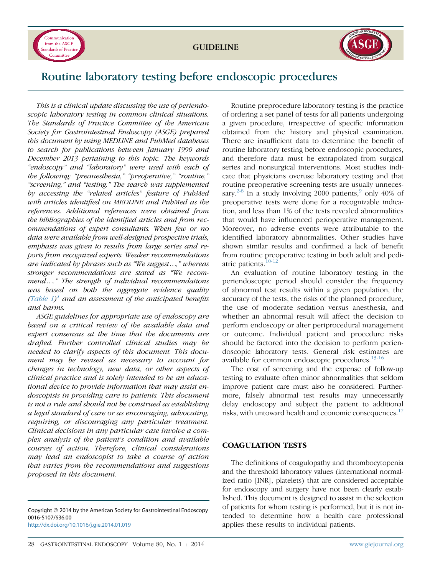

GUIDELINE



# Routine laboratory testing before endoscopic procedures

This is a clinical update discussing the use of periendoscopic laboratory testing in common clinical situations. The Standards of Practice Committee of the American Society for Gastrointestinal Endoscopy (ASGE) prepared this document by using MEDLINE and PubMed databases to search for publications between January 1990 and December 2013 pertaining to this topic. The keywords "endoscopy" and "laboratory" were used with each of the following: "preanesthesia," "preoperative," "routine," "screening," and "testing." The search was supplemented by accessing the "related articles" feature of PubMed with articles identified on MEDLINE and PubMed as the references. Additional references were obtained from the bibliographies of the identified articles and from recommendations of expert consultants. When few or no data were available from well-designed prospective trials, emphasis was given to results from large series and reports from recognized experts. Weaker recommendations are indicated by phrases such as "We suggest...," whereas stronger recommendations are stated as "We recommend.." The strength of individual recommendations was based on both the aggregate evidence quality ([Table 1\)](#page-1-0)<sup>[1](#page-3-0)</sup> and an assessment of the anticipated benefits and harms.

ASGE guidelines for appropriate use of endoscopy are based on a critical review of the available data and expert consensus at the time that the documents are drafted. Further controlled clinical studies may be needed to clarify aspects of this document. This document may be revised as necessary to account for changes in technology, new data, or other aspects of clinical practice and is solely intended to be an educational device to provide information that may assist endoscopists in providing care to patients. This document is not a rule and should not be construed as establishing a legal standard of care or as encouraging, advocating, requiring, or discouraging any particular treatment. Clinical decisions in any particular case involve a complex analysis of the patient's condition and available courses of action. Therefore, clinical considerations may lead an endoscopist to take a course of action that varies from the recommendations and suggestions proposed in this document.

Copyright © 2014 by the American Society for Gastrointestinal Endoscopy 0016-5107/\$36.00 <http://dx.doi.org/10.1016/j.gie.2014.01.019>

Routine preprocedure laboratory testing is the practice of ordering a set panel of tests for all patients undergoing a given procedure, irrespective of specific information obtained from the history and physical examination. There are insufficient data to determine the benefit of routine laboratory testing before endoscopic procedures, and therefore data must be extrapolated from surgical series and nonsurgical interventions. Most studies indicate that physicians overuse laboratory testing and that routine preoperative screening tests are usually unneces-sary.<sup>[2-8](#page-4-0)</sup> In a study involving 2000 patients,<sup>[9](#page-4-0)</sup> only 40% of preoperative tests were done for a recognizable indication, and less than 1% of the tests revealed abnormalities that would have influenced perioperative management. Moreover, no adverse events were attributable to the identified laboratory abnormalities. Other studies have shown similar results and confirmed a lack of benefit from routine preoperative testing in both adult and pediatric patients.[10-12](#page-4-0)

An evaluation of routine laboratory testing in the periendoscopic period should consider the frequency of abnormal test results within a given population, the accuracy of the tests, the risks of the planned procedure, the use of moderate sedation versus anesthesia, and whether an abnormal result will affect the decision to perform endoscopy or alter periprocedural management or outcome. Individual patient and procedure risks should be factored into the decision to perform periendoscopic laboratory tests. General risk estimates are available for common endoscopic procedures.<sup>[13-16](#page-4-0)</sup>

The cost of screening and the expense of follow-up testing to evaluate often minor abnormalities that seldom improve patient care must also be considered. Furthermore, falsely abnormal test results may unnecessarily delay endoscopy and subject the patient to additional risks, with untoward health and economic consequences.<sup>[17](#page-4-0)</sup>

## COAGULATION TESTS

The definitions of coagulopathy and thrombocytopenia and the threshold laboratory values (international normalized ratio [INR], platelets) that are considered acceptable for endoscopy and surgery have not been clearly established. This document is designed to assist in the selection of patients for whom testing is performed, but it is not intended to determine how a health care professional applies these results to individual patients.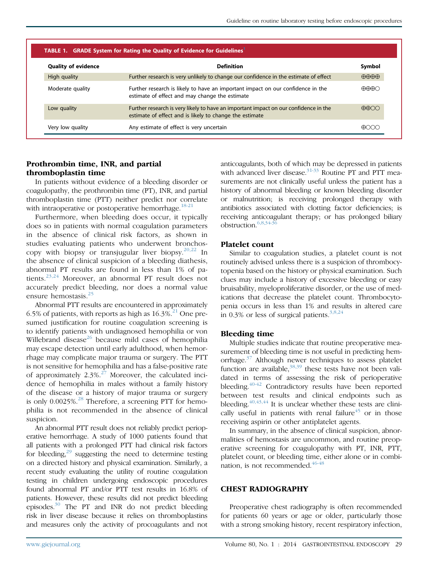<span id="page-1-0"></span>

| <b>TABLE 1. GRADE System for Rating the Quality of Evidence for Guidelines</b> |                                                                                                                                                 |                                           |
|--------------------------------------------------------------------------------|-------------------------------------------------------------------------------------------------------------------------------------------------|-------------------------------------------|
| <b>Quality of evidence</b>                                                     | <b>Definition</b>                                                                                                                               | Symbol                                    |
| High quality                                                                   | Further research is very unlikely to change our confidence in the estimate of effect                                                            | $\bigoplus \bigoplus \bigoplus \bigoplus$ |
| Moderate quality                                                               | Further research is likely to have an important impact on our confidence in the<br>estimate of effect and may change the estimate               | <del>NNN</del> O                          |
| Low quality                                                                    | Further research is very likely to have an important impact on our confidence in the<br>estimate of effect and is likely to change the estimate | $\bigoplus$                               |
| Very low quality                                                               | Any estimate of effect is very uncertain                                                                                                        |                                           |

## Prothrombin time, INR, and partial thromboplastin time

In patients without evidence of a bleeding disorder or coagulopathy, the prothrombin time (PT), INR, and partial thromboplastin time (PTT) neither predict nor correlate with intraoperative or postoperative hemorrhage.<sup>18-21</sup>

Furthermore, when bleeding does occur, it typically does so in patients with normal coagulation parameters in the absence of clinical risk factors, as shown in studies evaluating patients who underwent bronchoscopy with biopsy or transjugular liver biopsy.  $20,22$  In the absence of clinical suspicion of a bleeding diathesis, abnormal PT results are found in less than 1% of patients.[23,24](#page-4-0) Moreover, an abnormal PT result does not accurately predict bleeding, nor does a normal value ensure hemostasis.<sup>[25](#page-4-0)</sup>

Abnormal PTT results are encountered in approximately 6.5% of patients, with reports as high as  $16.3\%$ <sup>[21](#page-4-0)</sup> One presumed justification for routine coagulation screening is to identify patients with undiagnosed hemophilia or von Willebrand disease<sup>[26](#page-4-0)</sup> because mild cases of hemophilia may escape detection until early adulthood, when hemorrhage may complicate major trauma or surgery. The PTT is not sensitive for hemophilia and has a false-positive rate of approximately  $2.3\%^{27}$  $2.3\%^{27}$  $2.3\%^{27}$  Moreover, the calculated incidence of hemophilia in males without a family history of the disease or a history of major trauma or surgery is only  $0.0025\%$ .<sup>[28](#page-4-0)</sup> Therefore, a screening PTT for hemophilia is not recommended in the absence of clinical suspicion.

An abnormal PTT result does not reliably predict perioperative hemorrhage. A study of 1000 patients found that all patients with a prolonged PTT had clinical risk factors for bleeding, $^{29}$  suggesting the need to determine testing on a directed history and physical examination. Similarly, a recent study evaluating the utility of routine coagulation testing in children undergoing endoscopic procedures found abnormal PT and/or PTT test results in 16.8% of patients. However, these results did not predict bleeding episodes[.30](#page-4-0) The PT and INR do not predict bleeding risk in liver disease because it relies on thromboplastins and measures only the activity of procoagulants and not

anticoagulants, both of which may be depressed in patients with advanced liver disease.<sup>31-33</sup> Routine PT and PTT measurements are not clinically useful unless the patient has a history of abnormal bleeding or known bleeding disorder or malnutrition; is receiving prolonged therapy with antibiotics associated with clotting factor deficiencies; is receiving anticoagulant therapy; or has prolonged biliary obstruction.[6,8,34-36](#page-4-0)

#### Platelet count

Similar to coagulation studies, a platelet count is not routinely advised unless there is a suspicion of thrombocytopenia based on the history or physical examination. Such clues may include a history of excessive bleeding or easy bruisability, myeloproliferative disorder, or the use of medications that decrease the platelet count. Thrombocytopenia occurs in less than 1% and results in altered care in 0.3% or less of surgical patients.<sup>[3,8,24](#page-4-0)</sup>

#### Bleeding time

Multiple studies indicate that routine preoperative measurement of bleeding time is not useful in predicting hem-orrhage.<sup>[37](#page-4-0)</sup> Although newer techniques to assess platelet function are available,  $38,39$  these tests have not been validated in terms of assessing the risk of perioperative bleeding.<sup>[40-42](#page-4-0)</sup> Contradictory results have been reported between test results and clinical endpoints such as bleeding.  $40,43,44$  It is unclear whether these tests are clinically useful in patients with renal failure $45$  or in those receiving aspirin or other antiplatelet agents.

In summary, in the absence of clinical suspicion, abnormalities of hemostasis are uncommon, and routine preoperative screening for coagulopathy with PT, INR, PTT, platelet count, or bleeding time, either alone or in combi-nation, is not recommended.<sup>[46-48](#page-4-0)</sup>

#### CHEST RADIOGRAPHY

Preoperative chest radiography is often recommended for patients 60 years or age or older, particularly those with a strong smoking history, recent respiratory infection,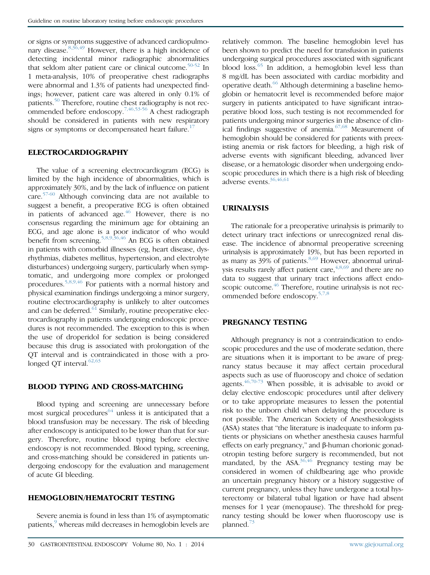or signs or symptoms suggestive of advanced cardiopulmo-nary disease.<sup>[8,36,49](#page-4-0)</sup> However, there is a high incidence of detecting incidental minor radiographic abnormalities that seldom alter patient care or clinical outcome.<sup>[50-52](#page-4-0)</sup> In 1 meta-analysis, 10% of preoperative chest radiographs were abnormal and 1.3% of patients had unexpected findings; however, patient care was altered in only 0.1% of patients.<sup>[50](#page-4-0)</sup> Therefore, routine chest radiography is not recommended before endoscopy.[7,46,53-56](#page-4-0) A chest radiograph should be considered in patients with new respiratory signs or symptoms or decompensated heart failure.<sup>[17](#page-4-0)</sup>

#### ELECTROCARDIOGRAPHY

The value of a screening electrocardiogram (ECG) is limited by the high incidence of abnormalities, which is approximately 30%, and by the lack of influence on patient care.[57-60](#page-5-0) Although convincing data are not available to suggest a benefit, a preoperative ECG is often obtained in patients of advanced age. $46$  However, there is no consensus regarding the minimum age for obtaining an ECG, and age alone is a poor indicator of who would benefit from screening.[5,8,9,36,46](#page-4-0) An ECG is often obtained in patients with comorbid illnesses (eg, heart disease, dysrhythmias, diabetes mellitus, hypertension, and electrolyte disturbances) undergoing surgery, particularly when symptomatic, and undergoing more complex or prolonged procedures.[5,8,9,46](#page-4-0) For patients with a normal history and physical examination findings undergoing a minor surgery, routine electrocardiography is unlikely to alter outcomes and can be deferred. $61$  Similarly, routine preoperative electrocardiography in patients undergoing endoscopic procedures is not recommended. The exception to this is when the use of droperidol for sedation is being considered because this drug is associated with prolongation of the QT interval and is contraindicated in those with a pro-longed QT interval.<sup>[62,63](#page-5-0)</sup>

#### BLOOD TYPING AND CROSS-MATCHING

Blood typing and screening are unnecessary before most surgical procedures<sup>[64](#page-5-0)</sup> unless it is anticipated that a blood transfusion may be necessary. The risk of bleeding after endoscopy is anticipated to be lower than that for surgery. Therefore, routine blood typing before elective endoscopy is not recommended. Blood typing, screening, and cross-matching should be considered in patients undergoing endoscopy for the evaluation and management of acute GI bleeding.

## HEMOGLOBIN/HEMATOCRIT TESTING

Severe anemia is found in less than 1% of asymptomatic patients,<sup>[9](#page-4-0)</sup> whereas mild decreases in hemoglobin levels are relatively common. The baseline hemoglobin level has been shown to predict the need for transfusion in patients undergoing surgical procedures associated with significant blood loss.<sup>[65](#page-5-0)</sup> In addition, a hemoglobin level less than 8 mg/dL has been associated with cardiac morbidity and operative death.<sup>[66](#page-5-0)</sup> Although determining a baseline hemoglobin or hematocrit level is recommended before major surgery in patients anticipated to have significant intraoperative blood loss, such testing is not recommended for patients undergoing minor surgeries in the absence of clinical findings suggestive of anemia. $67,68$  Measurement of hemoglobin should be considered for patients with preexisting anemia or risk factors for bleeding, a high risk of adverse events with significant bleeding, advanced liver disease, or a hematologic disorder when undergoing endoscopic procedures in which there is a high risk of bleeding adverse events.[36,46,61](#page-4-0)

#### URINALYSIS

The rationale for a preoperative urinalysis is primarily to detect urinary tract infections or unrecognized renal disease. The incidence of abnormal preoperative screening urinalysis is approximately 19%, but has been reported in as many as  $39\%$  of patients.<sup>[8,69](#page-4-0)</sup> However, abnormal urinalysis results rarely affect patient care,  $4,8,69$  and there are no data to suggest that urinary tract infections affect endo-scopic outcome.<sup>[46](#page-4-0)</sup> Therefore, routine urinalysis is not recommended before endoscopy.[5,7,8](#page-4-0)

## PREGNANCY TESTING

Although pregnancy is not a contraindication to endoscopic procedures and the use of moderate sedation, there are situations when it is important to be aware of pregnancy status because it may affect certain procedural aspects such as use of fluoroscopy and choice of sedation agents. $46,70-73$  When possible, it is advisable to avoid or delay elective endoscopic procedures until after delivery or to take appropriate measures to lessen the potential risk to the unborn child when delaying the procedure is not possible. The American Society of Anesthesiologists (ASA) states that "the literature is inadequate to inform patients or physicians on whether anesthesia causes harmful effects on early pregnancy," and  $\beta$ -human chorionic gonadotropin testing before surgery is recommended, but not mandated, by the  $ASA^{36,46}$  $ASA^{36,46}$  $ASA^{36,46}$  Pregnancy testing may be considered in women of childbearing age who provide an uncertain pregnancy history or a history suggestive of current pregnancy, unless they have undergone a total hysterectomy or bilateral tubal ligation or have had absent menses for 1 year (menopause). The threshold for pregnancy testing should be lower when fluoroscopy use is planned.[73](#page-5-0)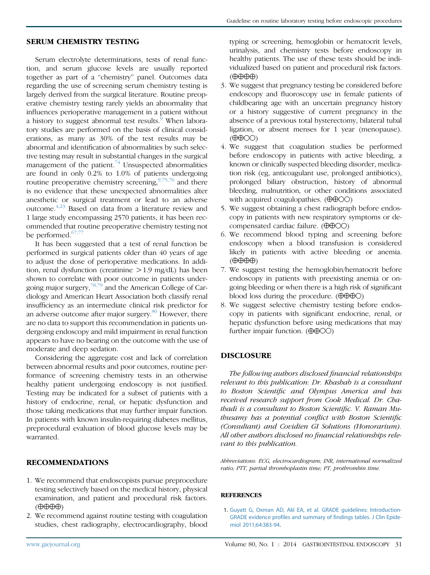## <span id="page-3-0"></span>SERUM CHEMISTRY TESTING

Serum electrolyte determinations, tests of renal function, and serum glucose levels are usually reported together as part of a "chemistry" panel. Outcomes data regarding the use of screening serum chemistry testing is largely derived from the surgical literature. Routine preoperative chemistry testing rarely yields an abnormality that influences perioperative management in a patient without a history to suggest abnormal test results.<sup>[9](#page-4-0)</sup> When laboratory studies are performed on the basis of clinical considerations, as many as 30% of the test results may be abnormal and identification of abnormalities by such selective testing may result in substantial changes in the surgical management of the patient. $74$  Unsuspected abnormalities are found in only 0.2% to 1.0% of patients undergoing routine preoperative chemistry screening,<sup>[9,75,76](#page-4-0)</sup> and there is no evidence that these unexpected abnormalities alter anesthetic or surgical treatment or lead to an adverse outcome.[4,23](#page-4-0) Based on data from a literature review and 1 large study encompassing 2570 patients, it has been recommended that routine preoperative chemistry testing not be performed. $67,77$ 

It has been suggested that a test of renal function be performed in surgical patients older than 40 years of age to adjust the dose of perioperative medications. In addition, renal dysfunction (creatinine  $>1.9$  mg/dL) has been shown to correlate with poor outcome in patients undergoing major surgery,[78,79](#page-5-0) and the American College of Cardiology and American Heart Association both classify renal insufficiency as an intermediate clinical risk predictor for an adverse outcome after major surgery. $80$  However, there are no data to support this recommendation in patients undergoing endoscopy and mild impairment in renal function appears to have no bearing on the outcome with the use of moderate and deep sedation.

Considering the aggregate cost and lack of correlation between abnormal results and poor outcomes, routine performance of screening chemistry tests in an otherwise healthy patient undergoing endoscopy is not justified. Testing may be indicated for a subset of patients with a history of endocrine, renal, or hepatic dysfunction and those taking medications that may further impair function. In patients with known insulin-requiring diabetes mellitus, preprocedural evaluation of blood glucose levels may be warranted.

## RECOMMENDATIONS

- 1. We recommend that endoscopists pursue preprocedure testing selectively based on the medical history, physical examination, and patient and procedural risk factors.  $(\oplus \oplus \oplus \oplus)$
- 2. We recommend against routine testing with coagulation studies, chest radiography, electrocardiography, blood

typing or screening, hemoglobin or hematocrit levels, urinalysis, and chemistry tests before endoscopy in healthy patients. The use of these tests should be individualized based on patient and procedural risk factors.  $(\oplus \oplus \oplus \oplus)$ 

- 3. We suggest that pregnancy testing be considered before endoscopy and fluoroscopy use in female patients of childbearing age with an uncertain pregnancy history or a history suggestive of current pregnancy in the absence of a previous total hysterectomy, bilateral tubal ligation, or absent menses for 1 year (menopause).  $(\bigoplus \bigoplus$ OO)
- 4. We suggest that coagulation studies be performed before endoscopy in patients with active bleeding, a known or clinically suspected bleeding disorder, medication risk (eg, anticoagulant use, prolonged antibiotics), prolonged biliary obstruction, history of abnormal bleeding, malnutrition, or other conditions associated with acquired coagulopathies.  $(\oplus \oplus \odot \odot)$
- 5. We suggest obtaining a chest radiograph before endoscopy in patients with new respiratory symptoms or decompensated cardiac failure.  $(\oplus \oplus \odot \odot)$
- 6. We recommend blood typing and screening before endoscopy when a blood transfusion is considered likely in patients with active bleeding or anemia.  $(\oplus \oplus \oplus \oplus)$
- 7. We suggest testing the hemoglobin/hematocrit before endoscopy in patients with preexisting anemia or ongoing bleeding or when there is a high risk of significant blood loss during the procedure.  $(\oplus \oplus \oplus \odot)$
- 8. We suggest selective chemistry testing before endoscopy in patients with significant endocrine, renal, or hepatic dysfunction before using medications that may further impair function.  $(\theta \theta \Theta \odot)$

## DISCLOSURE

The following authors disclosed financial relationships relevant to this publication: Dr. Khashab is a consultant to Boston Scientific and Olympus America and has received research support from Cook Medical. Dr. Chathadi is a consultant to Boston Scientific. V. Raman Muthusamy has a potential conflict with Boston Scientific (Consultant) and Covidien GI Solutions (Honorarium). All other authors disclosed no financial relationships relevant to this publication.

Abbreviations: ECG, electrocardiogram; INR, international normalized ratio; PTT, partial thromboplastin time; PT, prothrombin time.

#### **REFERENCES**

1. [Guyatt G, Oxman AD, Akl EA, et al. GRADE guidelines: Introduction-](http://refhub.elsevier.com/S0016-5107(14)00043-1/sref1)[GRADE evidence profiles and summary of findings tables. J Clin Epide](http://refhub.elsevier.com/S0016-5107(14)00043-1/sref1)[miol 2011;64:383-94](http://refhub.elsevier.com/S0016-5107(14)00043-1/sref1).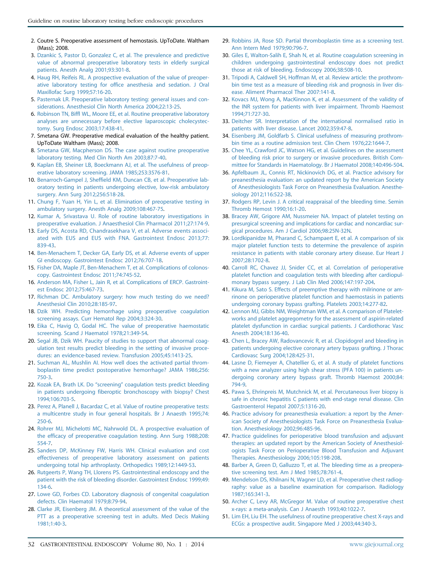- <span id="page-4-0"></span>2. Coutre S. Preoperative assessment of hemostasis. UpToDate. Waltham (Mass); 2008.
- 3. [Dzankic S, Pastor D, Gonzalez C, et al. The prevalence and predictive](http://refhub.elsevier.com/S0016-5107(14)00043-1/sref2) [value of abnormal preoperative laboratory tests in elderly surgical](http://refhub.elsevier.com/S0016-5107(14)00043-1/sref2) [patients. Anesth Analg 2001;93:301-8.](http://refhub.elsevier.com/S0016-5107(14)00043-1/sref2)
- 4. [Haug RH, Reifeis RL. A prospective evaluation of the value of preoper](http://refhub.elsevier.com/S0016-5107(14)00043-1/sref3)[ative laboratory testing for office anesthesia and sedation. J Oral](http://refhub.elsevier.com/S0016-5107(14)00043-1/sref3) [Maxillofac Surg 1999;57:16-20.](http://refhub.elsevier.com/S0016-5107(14)00043-1/sref3)
- 5. [Pasternak LR. Preoperative laboratory testing: general issues and con](http://refhub.elsevier.com/S0016-5107(14)00043-1/sref4)[siderations. Anesthesiol Clin North America 2004;22:13-25.](http://refhub.elsevier.com/S0016-5107(14)00043-1/sref4)
- 6. [Robinson TN, Biffl WL, Moore EE, et al. Routine preoperative laboratory](http://refhub.elsevier.com/S0016-5107(14)00043-1/sref5) [analyses are unnecessary before elective laparoscopic cholecystec](http://refhub.elsevier.com/S0016-5107(14)00043-1/sref5)[tomy. Surg Endosc 2003;17:438-41.](http://refhub.elsevier.com/S0016-5107(14)00043-1/sref5)
- 7. Smetana GW. Preoperative medical evaluation of the healthy patient. UpToDate Waltham (Mass); 2008.
- 8. [Smetana GW, Macpherson DS. The case against routine preoperative](http://refhub.elsevier.com/S0016-5107(14)00043-1/sref6) [laboratory testing. Med Clin North Am 2003;87:7-40.](http://refhub.elsevier.com/S0016-5107(14)00043-1/sref6)
- 9. [Kaplan EB, Sheiner LB, Boeckmann AJ, et al. The usefulness of preop](http://refhub.elsevier.com/S0016-5107(14)00043-1/sref7)[erative laboratory screening. JAMA 1985;253:3576-81.](http://refhub.elsevier.com/S0016-5107(14)00043-1/sref7)
- 10. [Benarroch-Gampel J, Sheffield KM, Duncan CB, et al. Preoperative lab](http://refhub.elsevier.com/S0016-5107(14)00043-1/sref8)[oratory testing in patients undergoing elective, low-risk ambulatory](http://refhub.elsevier.com/S0016-5107(14)00043-1/sref8) [surgery. Ann Surg 2012;256:518-28.](http://refhub.elsevier.com/S0016-5107(14)00043-1/sref8)
- 11. [Chung F, Yuan H, Yin L, et al. Elimination of preoperative testing in](http://refhub.elsevier.com/S0016-5107(14)00043-1/sref9) [ambulatory surgery. Anesth Analg 2009;108:467-75](http://refhub.elsevier.com/S0016-5107(14)00043-1/sref9).
- 12. [Kumar A, Srivastava U. Role of routine laboratory investigations in](http://refhub.elsevier.com/S0016-5107(14)00043-1/sref10) [preoperative evaluation. J Anaesthesiol Clin Pharmacol 2011;27:174-9](http://refhub.elsevier.com/S0016-5107(14)00043-1/sref10).
- 13. [Early DS, Acosta RD, Chandrasekhara V, et al. Adverse events associ](http://refhub.elsevier.com/S0016-5107(14)00043-1/sref11)[ated with EUS and EUS with FNA. Gastrointest Endosc 2013;77:](http://refhub.elsevier.com/S0016-5107(14)00043-1/sref11) [839-43](http://refhub.elsevier.com/S0016-5107(14)00043-1/sref11).
- 14. [Ben-Menachem T, Decker GA, Early DS, et al. Adverse events of upper](http://refhub.elsevier.com/S0016-5107(14)00043-1/sref12) [GI endoscopy. Gastrointest Endosc 2012;76:707-18](http://refhub.elsevier.com/S0016-5107(14)00043-1/sref12).
- 15. [Fisher DA, Maple JT, Ben-Menachem T, et al. Complications of colonos](http://refhub.elsevier.com/S0016-5107(14)00043-1/sref13)[copy. Gastrointest Endosc 2011;74:745-52](http://refhub.elsevier.com/S0016-5107(14)00043-1/sref13).
- 16. [Anderson MA, Fisher L, Jain R, et al. Complications of ERCP. Gastroint](http://refhub.elsevier.com/S0016-5107(14)00043-1/sref14)[est Endosc 2012;75:467-73.](http://refhub.elsevier.com/S0016-5107(14)00043-1/sref14)
- 17. [Richman DC. Ambulatory surgery: how much testing do we need?](http://refhub.elsevier.com/S0016-5107(14)00043-1/sref15) [Anesthesiol Clin 2010;28:185-97](http://refhub.elsevier.com/S0016-5107(14)00043-1/sref15).
- 18. [Dzik WH. Predicting hemorrhage using preoperative coagulation](http://refhub.elsevier.com/S0016-5107(14)00043-1/sref16) [screening assays. Curr Hematol Rep 2004;3:324-30.](http://refhub.elsevier.com/S0016-5107(14)00043-1/sref16)
- 19. [Eika C, Havig O, Godal HC. The value of preoperative haemostatic](http://refhub.elsevier.com/S0016-5107(14)00043-1/sref17) [screening. Scand J Haematol 1978;21:349-54](http://refhub.elsevier.com/S0016-5107(14)00043-1/sref17).
- 20. [Segal JB, Dzik WH. Paucity of studies to support that abnormal coag](http://refhub.elsevier.com/S0016-5107(14)00043-1/sref18)[ulation test results predict bleeding in the setting of invasive proce](http://refhub.elsevier.com/S0016-5107(14)00043-1/sref18)[dures: an evidence-based review. Transfusion 2005;45:1413-25](http://refhub.elsevier.com/S0016-5107(14)00043-1/sref18).
- 21. [Suchman AL, Mushlin AI. How well does the activated partial throm](http://refhub.elsevier.com/S0016-5107(14)00043-1/sref19)[boplastin time predict postoperative hemorrhage? JAMA 1986;256:](http://refhub.elsevier.com/S0016-5107(14)00043-1/sref19) [750-3.](http://refhub.elsevier.com/S0016-5107(14)00043-1/sref19)
- 22. Kozak EA, Brath LK. Do "screening" [coagulation tests predict bleeding](http://refhub.elsevier.com/S0016-5107(14)00043-1/sref20) [in patients undergoing fiberoptic bronchoscopy with biopsy? Chest](http://refhub.elsevier.com/S0016-5107(14)00043-1/sref20) [1994;106:703-5.](http://refhub.elsevier.com/S0016-5107(14)00043-1/sref20)
- 23. [Perez A, Planell J, Bacardaz C, et al. Value of routine preoperative tests:](http://refhub.elsevier.com/S0016-5107(14)00043-1/sref21) [a multicentre study in four general hospitals. Br J Anaesth 1995;74:](http://refhub.elsevier.com/S0016-5107(14)00043-1/sref21) [250-6](http://refhub.elsevier.com/S0016-5107(14)00043-1/sref21).
- 24. [Rohrer MJ, Michelotti MC, Nahrwold DL. A prospective evaluation of](http://refhub.elsevier.com/S0016-5107(14)00043-1/sref22) [the efficacy of preoperative coagulation testing. Ann Surg 1988;208:](http://refhub.elsevier.com/S0016-5107(14)00043-1/sref22) [554-7](http://refhub.elsevier.com/S0016-5107(14)00043-1/sref22).
- 25. [Sanders DP, McKinney FW, Harris WH. Clinical evaluation and cost](http://refhub.elsevier.com/S0016-5107(14)00043-1/sref23) [effectiveness of preoperative laboratory assessment on patients](http://refhub.elsevier.com/S0016-5107(14)00043-1/sref23) [undergoing total hip arthroplasty. Orthopedics 1989;12:1449-53.](http://refhub.elsevier.com/S0016-5107(14)00043-1/sref23)
- 26. [Rutgeerts P, Wang TH, Llorens PS. Gastrointestinal endoscopy and the](http://refhub.elsevier.com/S0016-5107(14)00043-1/sref24) [patient with the risk of bleeding disorder. Gastrointest Endosc 1999;49:](http://refhub.elsevier.com/S0016-5107(14)00043-1/sref24) [134-6](http://refhub.elsevier.com/S0016-5107(14)00043-1/sref24).
- 27. [Lowe GD, Forbes CD. Laboratory diagnosis of congenital coagulation](http://refhub.elsevier.com/S0016-5107(14)00043-1/sref25) [defects. Clin Haematol 1979;8:79-94.](http://refhub.elsevier.com/S0016-5107(14)00043-1/sref25)
- 28. [Clarke JR, Eisenberg JM. A theoretical assessment of the value of the](http://refhub.elsevier.com/S0016-5107(14)00043-1/sref26) [PTT as a preoperative screening test in adults. Med Decis Making](http://refhub.elsevier.com/S0016-5107(14)00043-1/sref26) [1981;1:40-3.](http://refhub.elsevier.com/S0016-5107(14)00043-1/sref26)
- 29. [Robbins JA, Rose SD. Partial thromboplastin time as a screening test.](http://refhub.elsevier.com/S0016-5107(14)00043-1/sref27) [Ann Intern Med 1979;90:796-7](http://refhub.elsevier.com/S0016-5107(14)00043-1/sref27).
- 30. [Giles E, Walton-Salih E, Shah N, et al. Routine coagulation screening in](http://refhub.elsevier.com/S0016-5107(14)00043-1/sref28) [children undergoing gastrointestinal endoscopy does not predict](http://refhub.elsevier.com/S0016-5107(14)00043-1/sref28) [those at risk of bleeding. Endoscopy 2006;38:508-10](http://refhub.elsevier.com/S0016-5107(14)00043-1/sref28).
- 31. [Tripodi A, Caldwell SH, Hoffman M, et al. Review article: the prothrom](http://refhub.elsevier.com/S0016-5107(14)00043-1/sref29)[bin time test as a measure of bleeding risk and prognosis in liver dis](http://refhub.elsevier.com/S0016-5107(14)00043-1/sref29)[ease. Aliment Pharmacol Ther 2007:141-8.](http://refhub.elsevier.com/S0016-5107(14)00043-1/sref29)
- 32. [Kovacs MJ, Wong A, MacKinnon K, et al. Assessment of the validity of](http://refhub.elsevier.com/S0016-5107(14)00043-1/sref30) [the INR system for patients with liver impairment. Thromb Haemost](http://refhub.elsevier.com/S0016-5107(14)00043-1/sref30) [1994;71:727-30](http://refhub.elsevier.com/S0016-5107(14)00043-1/sref30).
- 33. [Deitcher SR. Interpretation of the international normalised ratio in](http://refhub.elsevier.com/S0016-5107(14)00043-1/sref31) [patients with liver disease. Lancet 2002;359:47-8.](http://refhub.elsevier.com/S0016-5107(14)00043-1/sref31)
- 34. [Eisenberg JM, Goldfarb S. Clinical usefulness of measuring prothrom](http://refhub.elsevier.com/S0016-5107(14)00043-1/sref32)[bin time as a routine admission test. Clin Chem 1976;22:1644-7](http://refhub.elsevier.com/S0016-5107(14)00043-1/sref32).
- 35. [Chee YL, Crawford JC, Watson HG, et al. Guidelines on the assessment](http://refhub.elsevier.com/S0016-5107(14)00043-1/sref33) [of bleeding risk prior to surgery or invasive procedures. British Com](http://refhub.elsevier.com/S0016-5107(14)00043-1/sref33)[mittee for Standards in Haematology. Br J Haematol 2008;140:496-504.](http://refhub.elsevier.com/S0016-5107(14)00043-1/sref33)
- 36. [Apfelbaum JL, Connis RT, Nickinovich DG, et al. Practice advisory for](http://refhub.elsevier.com/S0016-5107(14)00043-1/sref34) [preanesthesia evaluation: an updated report by the American Society](http://refhub.elsevier.com/S0016-5107(14)00043-1/sref34) [of Anesthesiologists Task Force on Preanesthesia Evaluation. Anesthe](http://refhub.elsevier.com/S0016-5107(14)00043-1/sref34)[siology 2012;116:522-38.](http://refhub.elsevier.com/S0016-5107(14)00043-1/sref34)
- 37. [Rodgers RP, Levin J. A critical reappraisal of the bleeding time. Semin](http://refhub.elsevier.com/S0016-5107(14)00043-1/sref35) [Thromb Hemost 1990;16:1-20.](http://refhub.elsevier.com/S0016-5107(14)00043-1/sref35)
- 38. [Bracey AW, Grigore AM, Nussmeier NA. Impact of platelet testing on](http://refhub.elsevier.com/S0016-5107(14)00043-1/sref36) [presurgical screening and implications for cardiac and noncardiac sur](http://refhub.elsevier.com/S0016-5107(14)00043-1/sref36)[gical procedures. Am J Cardiol 2006;98:25N-32N.](http://refhub.elsevier.com/S0016-5107(14)00043-1/sref36)
- 39. [Lordkipanidze M, Pharand C, Schampaert E, et al. A comparison of six](http://refhub.elsevier.com/S0016-5107(14)00043-1/sref37) [major platelet function tests to determine the prevalence of aspirin](http://refhub.elsevier.com/S0016-5107(14)00043-1/sref37) [resistance in patients with stable coronary artery disease. Eur Heart J](http://refhub.elsevier.com/S0016-5107(14)00043-1/sref37) [2007;28:1702-8](http://refhub.elsevier.com/S0016-5107(14)00043-1/sref37).
- 40. [Carroll RC, Chavez JJ, Snider CC, et al. Correlation of perioperative](http://refhub.elsevier.com/S0016-5107(14)00043-1/sref38) [platelet function and coagulation tests with bleeding after cardiopul](http://refhub.elsevier.com/S0016-5107(14)00043-1/sref38)[monary bypass surgery. J Lab Clin Med 2006;147:197-204.](http://refhub.elsevier.com/S0016-5107(14)00043-1/sref38)
- 41. [Kikura M, Sato S. Effects of preemptive therapy with milrinone or am](http://refhub.elsevier.com/S0016-5107(14)00043-1/sref39)[rinone on perioperative platelet function and haemostasis in patients](http://refhub.elsevier.com/S0016-5107(14)00043-1/sref39) [undergoing coronary bypass grafting. Platelets 2003;14:277-82](http://refhub.elsevier.com/S0016-5107(14)00043-1/sref39).
- 42. [Lennon MJ, Gibbs NM, Weightman WM, et al. A comparison of Platelet](http://refhub.elsevier.com/S0016-5107(14)00043-1/sref40)[works and platelet aggregometry for the assessment of aspirin-related](http://refhub.elsevier.com/S0016-5107(14)00043-1/sref40) [platelet dysfunction in cardiac surgical patients. J Cardiothorac Vasc](http://refhub.elsevier.com/S0016-5107(14)00043-1/sref40) [Anesth 2004;18:136-40](http://refhub.elsevier.com/S0016-5107(14)00043-1/sref40).
- 43. [Chen L, Bracey AW, Radovancevic R, et al. Clopidogrel and bleeding in](http://refhub.elsevier.com/S0016-5107(14)00043-1/sref41) [patients undergoing elective coronary artery bypass grafting. J Thorac](http://refhub.elsevier.com/S0016-5107(14)00043-1/sref41) [Cardiovasc Surg 2004;128:425-31.](http://refhub.elsevier.com/S0016-5107(14)00043-1/sref41)
- 44. [Lasne D, Fiemeyer A, Chatellier G, et al. A study of platelet functions](http://refhub.elsevier.com/S0016-5107(14)00043-1/sref42) [with a new analyzer using high shear stress \(PFA 100\) in patients un](http://refhub.elsevier.com/S0016-5107(14)00043-1/sref42)[dergoing coronary artery bypass graft. Thromb Haemost 2000;84:](http://refhub.elsevier.com/S0016-5107(14)00043-1/sref42) [794-9.](http://refhub.elsevier.com/S0016-5107(14)00043-1/sref42)
- 45. [Pawa S, Ehrinpreis M, Mutchnick M, et al. Percutaneous liver biopsy is](http://refhub.elsevier.com/S0016-5107(14)00043-1/sref43) [safe in chronic hepatitis C patients with end-stage renal disease. Clin](http://refhub.elsevier.com/S0016-5107(14)00043-1/sref43) [Gastroenterol Hepatol 2007;5:1316-20.](http://refhub.elsevier.com/S0016-5107(14)00043-1/sref43)
- 46. [Practice advisory for preanesthesia evaluation: a report by the Amer](http://refhub.elsevier.com/S0016-5107(14)00043-1/sref44)[ican Society of Anesthesiologists Task Force on Preanesthesia Evalua](http://refhub.elsevier.com/S0016-5107(14)00043-1/sref44)[tion. Anesthesiology 2002;96:485-96](http://refhub.elsevier.com/S0016-5107(14)00043-1/sref44).
- 47. [Practice guidelines for perioperative blood transfusion and adjuvant](http://refhub.elsevier.com/S0016-5107(14)00043-1/sref45) [therapies: an updated report by the American Society of Anesthesiol](http://refhub.elsevier.com/S0016-5107(14)00043-1/sref45)[ogists Task Force on Perioperative Blood Transfusion and Adjuvant](http://refhub.elsevier.com/S0016-5107(14)00043-1/sref45) [Therapies. Anesthesiology 2006;105:198-208](http://refhub.elsevier.com/S0016-5107(14)00043-1/sref45).
- 48. [Barber A, Green D, Galluzzo T, et al. The bleeding time as a preopera](http://refhub.elsevier.com/S0016-5107(14)00043-1/sref46)[tive screening test. Am J Med 1985;78:761-4.](http://refhub.elsevier.com/S0016-5107(14)00043-1/sref46)
- 49. [Mendelson DS, Khilnani N, Wagner LD, et al. Preoperative chest radiog](http://refhub.elsevier.com/S0016-5107(14)00043-1/sref47)[raphy: value as a baseline examination for comparison. Radiology](http://refhub.elsevier.com/S0016-5107(14)00043-1/sref47) [1987;165:341-3](http://refhub.elsevier.com/S0016-5107(14)00043-1/sref47).
- 50. [Archer C, Levy AR, McGregor M. Value of routine preoperative chest](http://refhub.elsevier.com/S0016-5107(14)00043-1/sref48) [x-rays: a meta-analysis. Can J Anaesth 1993;40:1022-7](http://refhub.elsevier.com/S0016-5107(14)00043-1/sref48).
- 51. [Lim EH, Liu EH. The usefulness of routine preoperative chest X-rays and](http://refhub.elsevier.com/S0016-5107(14)00043-1/sref49) [ECGs: a prospective audit. Singapore Med J 2003;44:340-3.](http://refhub.elsevier.com/S0016-5107(14)00043-1/sref49)